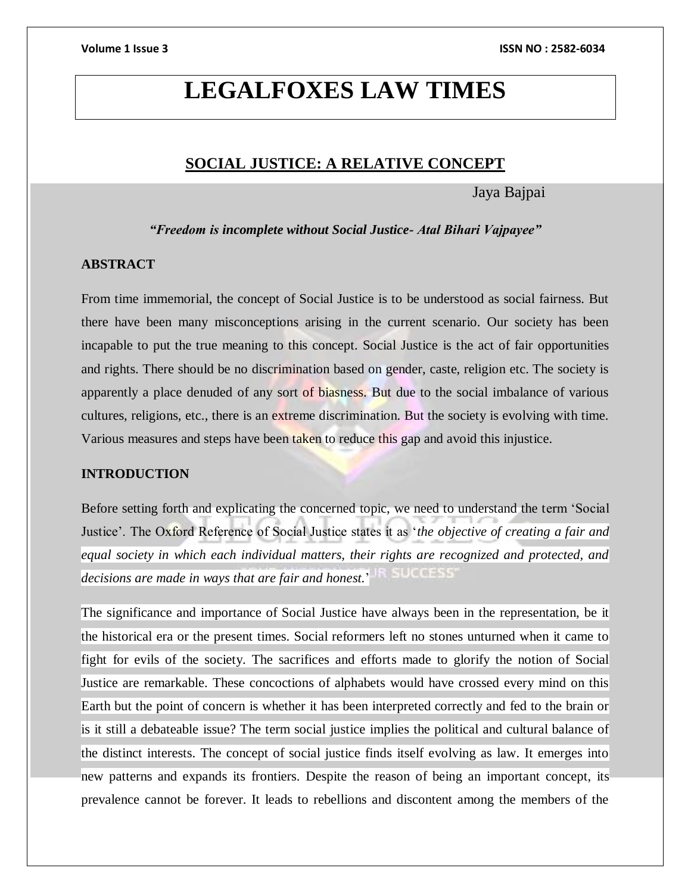# **LEGALFOXES LAW TIMES**

## **SOCIAL JUSTICE: A RELATIVE CONCEPT**

Jaya Bajpai

*"Freedom is incomplete without Social Justice- Atal Bihari Vajpayee"*

### **ABSTRACT**

From time immemorial, the concept of Social Justice is to be understood as social fairness. But there have been many misconceptions arising in the current scenario. Our society has been incapable to put the true meaning to this concept. Social Justice is the act of fair opportunities and rights. There should be no discrimination based on gender, caste, religion etc. The society is apparently a place denuded of any sort of biasness. But due to the social imbalance of various cultures, religions, etc., there is an extreme discrimination. But the society is evolving with time. Various measures and steps have been taken to reduce this gap and avoid this injustice.

### **INTRODUCTION**

Before setting forth and explicating the concerned topic, we need to understand the term 'Social Justice'. The Oxford Reference of Social Justice states it as '*the objective of creating a fair and equal society in which each individual matters, their rights are recognized and protected, and decisions are made in ways that are fair and honest.*'

The significance and importance of Social Justice have always been in the representation, be it the historical era or the present times. Social reformers left no stones unturned when it came to fight for evils of the society. The sacrifices and efforts made to glorify the notion of Social Justice are remarkable. These concoctions of alphabets would have crossed every mind on this Earth but the point of concern is whether it has been interpreted correctly and fed to the brain or is it still a debateable issue? The term social justice implies the political and cultural balance of the distinct interests. The concept of social justice finds itself evolving as law. It emerges into new patterns and expands its frontiers. Despite the reason of being an important concept, its prevalence cannot be forever. It leads to rebellions and discontent among the members of the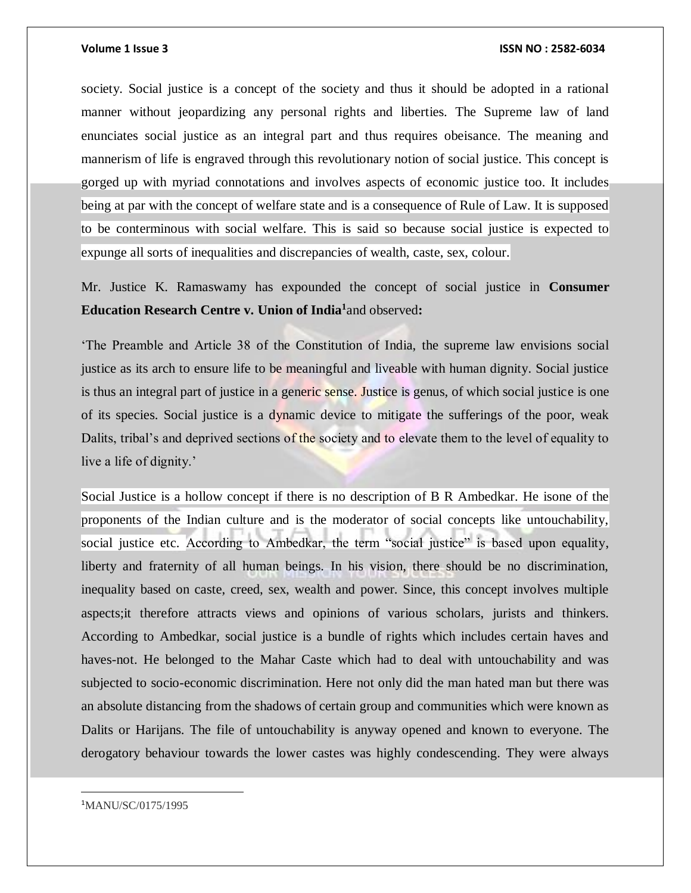### **Volume 1 Issue 3 ISSN NO : 2582-6034**

society. Social justice is a concept of the society and thus it should be adopted in a rational manner without jeopardizing any personal rights and liberties. The Supreme law of land enunciates social justice as an integral part and thus requires obeisance. The meaning and mannerism of life is engraved through this revolutionary notion of social justice. This concept is gorged up with myriad connotations and involves aspects of economic justice too. It includes being at par with the concept of welfare state and is a consequence of Rule of Law. It is supposed to be conterminous with social welfare. This is said so because social justice is expected to expunge all sorts of inequalities and discrepancies of wealth, caste, sex, colour.

Mr. Justice K. Ramaswamy has expounded the concept of social justice in **Consumer Education Research Centre v. Union of India<sup>1</sup>** and observed**:**

'The Preamble and Article 38 of the Constitution of India, the supreme law envisions social justice as its arch to ensure life to be meaningful and liveable with human dignity. Social justice is thus an integral part of justice in a generic sense. Justice is genus, of which social justice is one of its species. Social justice is a dynamic device to mitigate the sufferings of the poor, weak Dalits, tribal's and deprived sections of the society and to elevate them to the level of equality to live a life of dignity.'

Social Justice is a hollow concept if there is no description of B R Ambedkar. He isone of the proponents of the Indian culture and is the moderator of social concepts like untouchability, social justice etc. According to Ambedkar, the term "social justice" is based upon equality, liberty and fraternity of all human beings. In his vision, there should be no discrimination, inequality based on caste, creed, sex, wealth and power. Since, this concept involves multiple aspects;it therefore attracts views and opinions of various scholars, jurists and thinkers. According to Ambedkar, social justice is a bundle of rights which includes certain haves and haves-not. He belonged to the Mahar Caste which had to deal with untouchability and was subjected to socio-economic discrimination. Here not only did the man hated man but there was an absolute distancing from the shadows of certain group and communities which were known as Dalits or Harijans. The file of untouchability is anyway opened and known to everyone. The derogatory behaviour towards the lower castes was highly condescending. They were always

1MANU/SC/0175/1995

 $\overline{a}$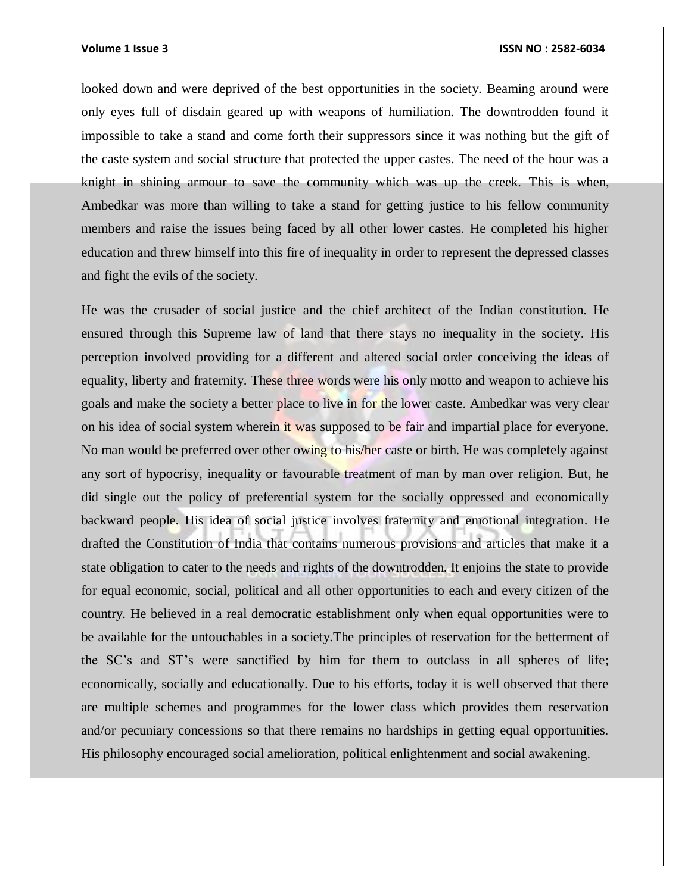### **Volume 1 Issue 3 ISSN NO : 2582-6034**

looked down and were deprived of the best opportunities in the society. Beaming around were only eyes full of disdain geared up with weapons of humiliation. The downtrodden found it impossible to take a stand and come forth their suppressors since it was nothing but the gift of the caste system and social structure that protected the upper castes. The need of the hour was a knight in shining armour to save the community which was up the creek. This is when, Ambedkar was more than willing to take a stand for getting justice to his fellow community members and raise the issues being faced by all other lower castes. He completed his higher education and threw himself into this fire of inequality in order to represent the depressed classes and fight the evils of the society.

He was the crusader of social justice and the chief architect of the Indian constitution. He ensured through this Supreme law of land that there stays no inequality in the society. His perception involved providing for a different and altered social order conceiving the ideas of equality, liberty and fraternity. These three words were his only motto and weapon to achieve his goals and make the society a better place to live in for the lower caste. Ambedkar was very clear on his idea of social system wherein it was supposed to be fair and impartial place for everyone. No man would be preferred over other owing to his/her caste or birth. He was completely against any sort of hypocrisy, inequality or favourable treatment of man by man over religion. But, he did single out the policy of preferential system for the socially oppressed and economically backward people. His idea of social justice involves fraternity and emotional integration. He drafted the Constitution of India that contains numerous provisions and articles that make it a state obligation to cater to the needs and rights of the downtrodden. It enjoins the state to provide for equal economic, social, political and all other opportunities to each and every citizen of the country. He believed in a real democratic establishment only when equal opportunities were to be available for the untouchables in a society.The principles of reservation for the betterment of the SC's and ST's were sanctified by him for them to outclass in all spheres of life; economically, socially and educationally. Due to his efforts, today it is well observed that there are multiple schemes and programmes for the lower class which provides them reservation and/or pecuniary concessions so that there remains no hardships in getting equal opportunities. His philosophy encouraged social amelioration, political enlightenment and social awakening.